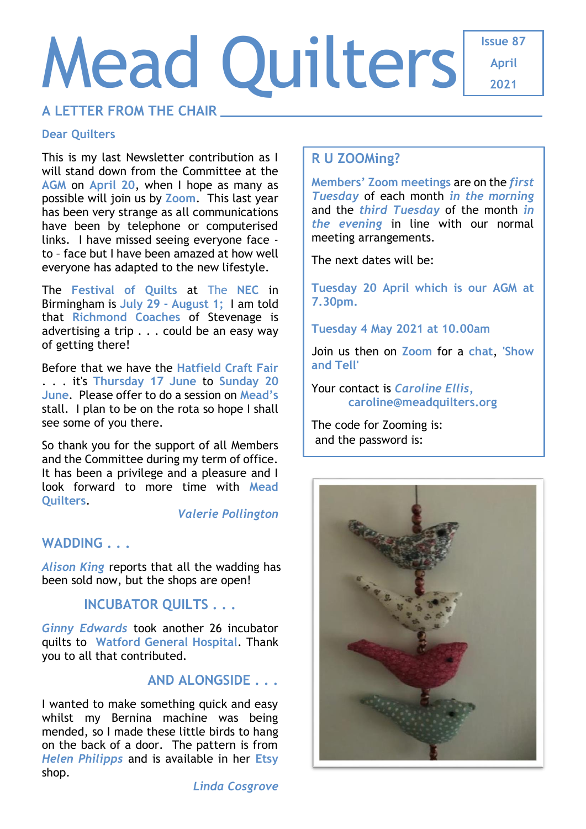# Mead Quilters

**Issue 87 April 2021**

# **A LETTER FROM THE CHAIR**

#### **Dear Quilters**

This is my last Newsletter contribution as I will stand down from the Committee at the **AGM** on **April 20**, when I hope as many as possible will join us by **Zoom**. This last year has been very strange as all communications have been by telephone or computerised links. I have missed seeing everyone face to – face but I have been amazed at how well everyone has adapted to the new lifestyle.

The **Festival of Quilts** at The **NEC** in Birmingham is **July 29 - August 1;** I am told that **Richmond Coaches** of Stevenage is advertising a trip . . . could be an easy way of getting there!

Before that we have the **Hatfield Craft Fair** . . . it's **Thursday 17 June** to **Sunday 20 June**. Please offer to do a session on **Mead's** stall. I plan to be on the rota so hope I shall see some of you there.

So thank you for the support of all Members and the Committee during my term of office. It has been a privilege and a pleasure and I look forward to more time with **Mead Quilters**.

*Valerie Pollington*

# WADDING . . .

*Alison King* reports that all the wadding has been sold now, but the shops are open!

# **INCUBATOR QUILTS . . .**

*Ginny Edwards* took another 26 incubator quilts to **Watford General Hospital**. Thank you to all that contributed.

# **AND ALONGSIDE . . .**

I wanted to make something quick and easy whilst my Bernina machine was being mended, so I made these little birds to hang on the back of a door. The pattern is from *Helen Philipps* and is available in her **Etsy** shop.

## **R U ZOOMing?**

**Members' Zoom meetings** are on the *first Tuesday* of each month *in the morning* and the *third Tuesday* of the month *in the evening* in line with our normal meeting arrangements.

The next dates will be:

**Tuesday 20 April which is our AGM at 7.30pm.**

**Tuesday 4 May 2021 at 10.00am**

Join us then on **Zoom** for a **chat**, **'Show and Tell'**

Your contact is *Caroline Ellis,* **[caroline@meadquilters.org](mailto:carolineellis99@aol.com)**

The code for Zooming is: and the password is:

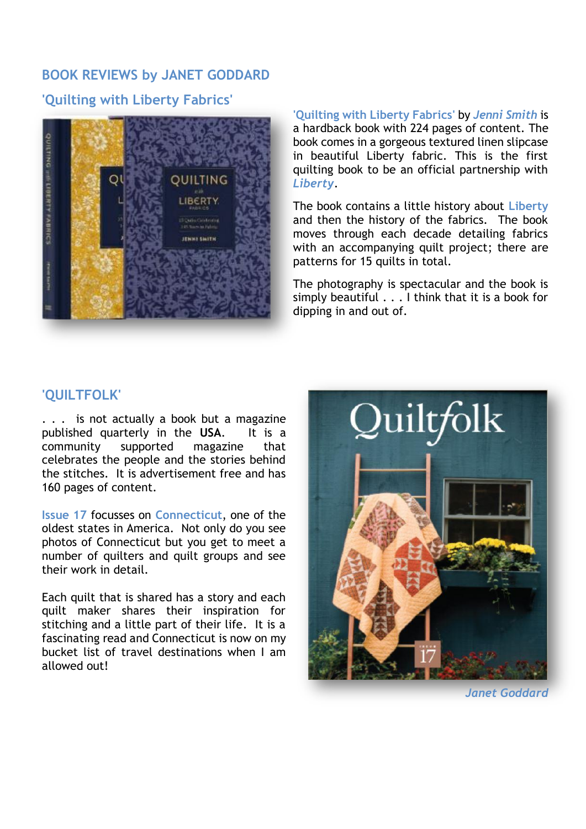# **BOOK REVIEWS by JANET GODDARD**

#### **'Quilting with Liberty Fabrics'**



**'Quilting with Liberty Fabrics'** by *Jenni Smith* is a hardback book with 224 pages of content. The book comes in a gorgeous textured linen slipcase in beautiful Liberty fabric. This is the first quilting book to be an official partnership with *Liberty*.

The book contains a little history about **Liberty** and then the history of the fabrics. The book moves through each decade detailing fabrics with an accompanying quilt project; there are patterns for 15 quilts in total.

The photography is spectacular and the book is simply beautiful . . . I think that it is a book for dipping in and out of.

### **'QUILTFOLK'**

. . . is not actually a book but a magazine published quarterly in the **USA**. It is a community supported magazine that celebrates the people and the stories behind the stitches. It is advertisement free and has 160 pages of content.

**Issue 17** focusses on **Connecticut**, one of the oldest states in America. Not only do you see photos of Connecticut but you get to meet a number of quilters and quilt groups and see their work in detail.

Each quilt that is shared has a story and each quilt maker shares their inspiration for stitching and a little part of their life. It is a fascinating read and Connecticut is now on my bucket list of travel destinations when I am allowed out!



*Janet Goddard*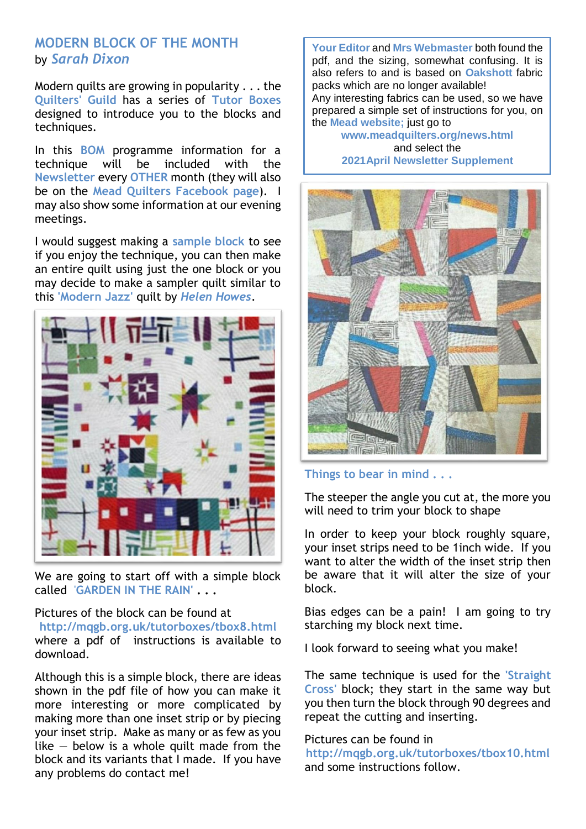#### **MODERN BLOCK OF THE MONTH** by *Sarah Dixon*

Modern quilts are growing in popularity . . . the **Quilters' Guild** has a series of **Tutor Boxes** designed to introduce you to the blocks and techniques.

In this **BOM** programme information for a technique will be included with the **Newsletter** every **OTHER** month (they will also be on the **Mead Quilters Facebook page**). I may also show some information at our evening meetings.

I would suggest making a **sample block** to see if you enjoy the technique, you can then make an entire quilt using just the one block or you may decide to make a sampler quilt similar to this **'Modern Jazz'** quilt by *Helen Howes*.



We are going to start off with a simple block called '**GARDEN IN THE RAIN' . . .**

#### Pictures of the block can be found at

**<http://mqgb.org.uk/tutorboxes/tbox8.html>** where a pdf of instructions is available to download.

Although this is a simple block, there are ideas shown in the pdf file of how you can make it more interesting or more complicated by making more than one inset strip or by piecing your inset strip. Make as many or as few as you like  $-$  below is a whole quilt made from the block and its variants that I made. If you have any problems do contact me!

**Your Editor** and **Mrs Webmaster** both found the pdf, and the sizing, somewhat confusing. It is also refers to and is based on **Oakshott** fabric packs which are no longer available!

Any interesting fabrics can be used, so we have prepared a simple set of instructions for you, on the **Mead website;** just go to

**[www.meadquilters.org/news.html](http://www.meadquilters.org/modern.html)** and select the **2021April Newsletter Supplement**



#### **Things to bear in mind . . .**

The steeper the angle you cut at, the more you will need to trim your block to shape

In order to keep your block roughly square, your inset strips need to be 1inch wide. If you want to alter the width of the inset strip then be aware that it will alter the size of your block.

Bias edges can be a pain! I am going to try starching my block next time.

I look forward to seeing what you make!

The same technique is used for the **'Straight Cross'** block; they start in the same way but you then turn the block through 90 degrees and repeat the cutting and inserting.

#### Pictures can be found in

**[http://mqgb.org.uk/tutorboxes/tbox10.html](https://mqgb.org.uk/tutorboxes/tbox10.html)** and some instructions follow.